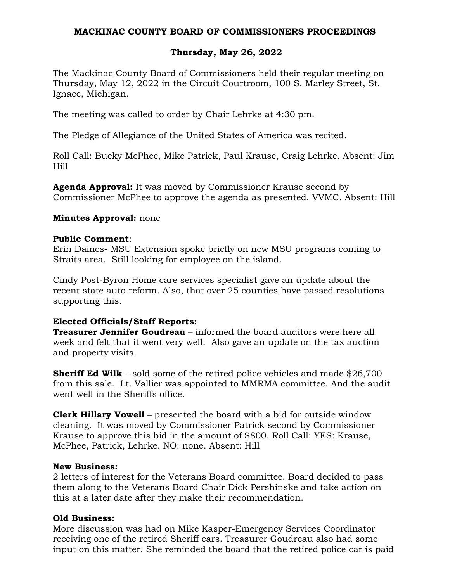## **MACKINAC COUNTY BOARD OF COMMISSIONERS PROCEEDINGS**

# **Thursday, May 26, 2022**

The Mackinac County Board of Commissioners held their regular meeting on Thursday, May 12, 2022 in the Circuit Courtroom, 100 S. Marley Street, St. Ignace, Michigan.

The meeting was called to order by Chair Lehrke at 4:30 pm.

The Pledge of Allegiance of the United States of America was recited.

Roll Call: Bucky McPhee, Mike Patrick, Paul Krause, Craig Lehrke. Absent: Jim Hill

**Agenda Approval:** It was moved by Commissioner Krause second by Commissioner McPhee to approve the agenda as presented. VVMC. Absent: Hill

## **Minutes Approval:** none

#### **Public Comment**:

Erin Daines- MSU Extension spoke briefly on new MSU programs coming to Straits area. Still looking for employee on the island.

Cindy Post-Byron Home care services specialist gave an update about the recent state auto reform. Also, that over 25 counties have passed resolutions supporting this.

## **Elected Officials/Staff Reports:**

**Treasurer Jennifer Goudreau** – informed the board auditors were here all week and felt that it went very well. Also gave an update on the tax auction and property visits.

**Sheriff Ed Wilk** – sold some of the retired police vehicles and made \$26,700 from this sale. Lt. Vallier was appointed to MMRMA committee. And the audit went well in the Sheriffs office.

**Clerk Hillary Vowell** – presented the board with a bid for outside window cleaning. It was moved by Commissioner Patrick second by Commissioner Krause to approve this bid in the amount of \$800. Roll Call: YES: Krause, McPhee, Patrick, Lehrke. NO: none. Absent: Hill

## **New Business:**

2 letters of interest for the Veterans Board committee. Board decided to pass them along to the Veterans Board Chair Dick Pershinske and take action on this at a later date after they make their recommendation.

## **Old Business:**

More discussion was had on Mike Kasper-Emergency Services Coordinator receiving one of the retired Sheriff cars. Treasurer Goudreau also had some input on this matter. She reminded the board that the retired police car is paid